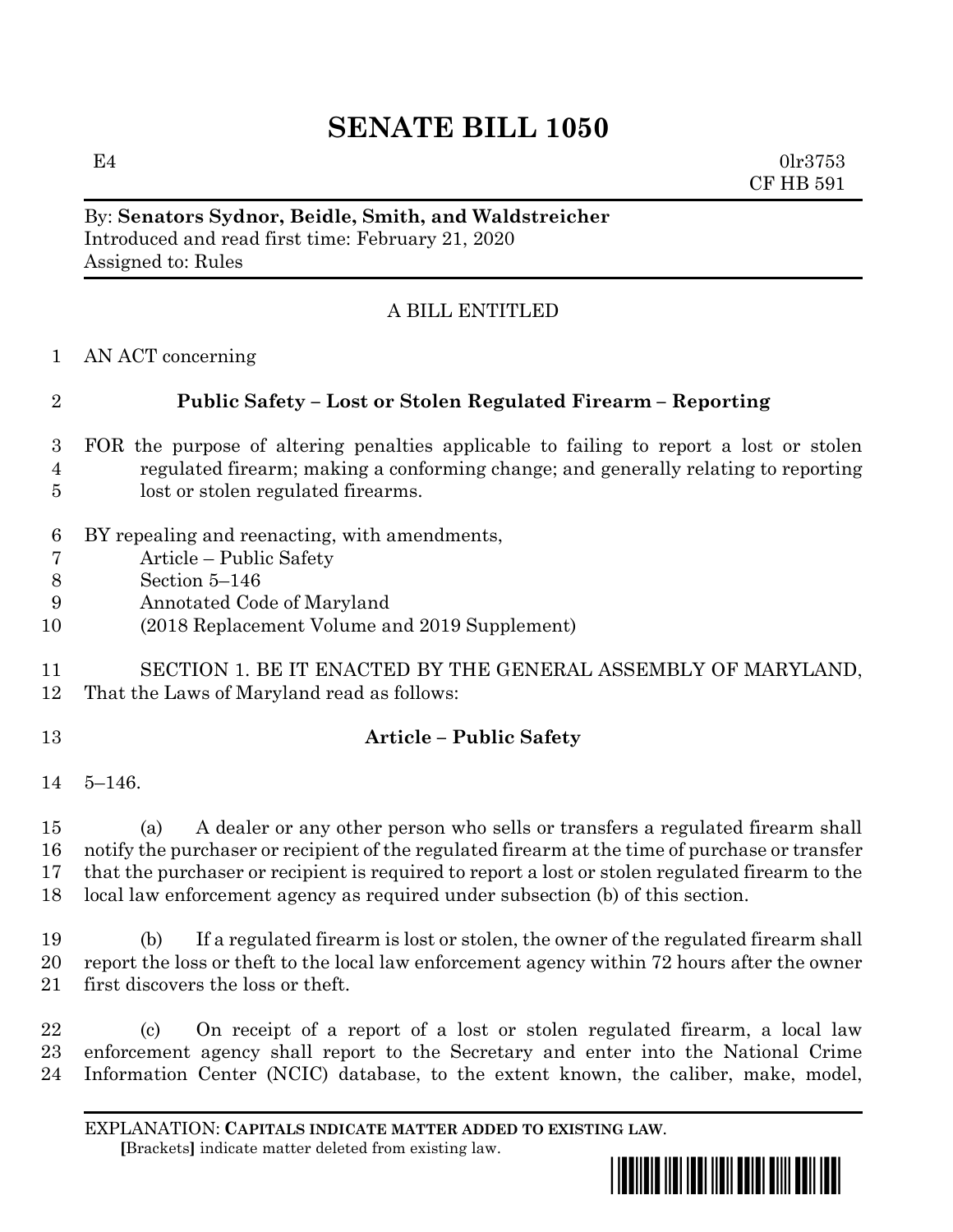# **SENATE BILL 1050**

 $E4$  0lr3753 CF HB 591

#### By: **Senators Sydnor, Beidle, Smith, and Waldstreicher** Introduced and read first time: February 21, 2020 Assigned to: Rules

# A BILL ENTITLED

AN ACT concerning

# **Public Safety – Lost or Stolen Regulated Firearm – Reporting**

- FOR the purpose of altering penalties applicable to failing to report a lost or stolen regulated firearm; making a conforming change; and generally relating to reporting lost or stolen regulated firearms.
- BY repealing and reenacting, with amendments,
- Article Public Safety
- Section 5–146
- Annotated Code of Maryland
- (2018 Replacement Volume and 2019 Supplement)
- SECTION 1. BE IT ENACTED BY THE GENERAL ASSEMBLY OF MARYLAND, That the Laws of Maryland read as follows:
- 

# **Article – Public Safety**

5–146.

 (a) A dealer or any other person who sells or transfers a regulated firearm shall notify the purchaser or recipient of the regulated firearm at the time of purchase or transfer that the purchaser or recipient is required to report a lost or stolen regulated firearm to the local law enforcement agency as required under subsection (b) of this section.

 (b) If a regulated firearm is lost or stolen, the owner of the regulated firearm shall report the loss or theft to the local law enforcement agency within 72 hours after the owner first discovers the loss or theft.

 (c) On receipt of a report of a lost or stolen regulated firearm, a local law enforcement agency shall report to the Secretary and enter into the National Crime Information Center (NCIC) database, to the extent known, the caliber, make, model,

EXPLANATION: **CAPITALS INDICATE MATTER ADDED TO EXISTING LAW**.  **[**Brackets**]** indicate matter deleted from existing law.